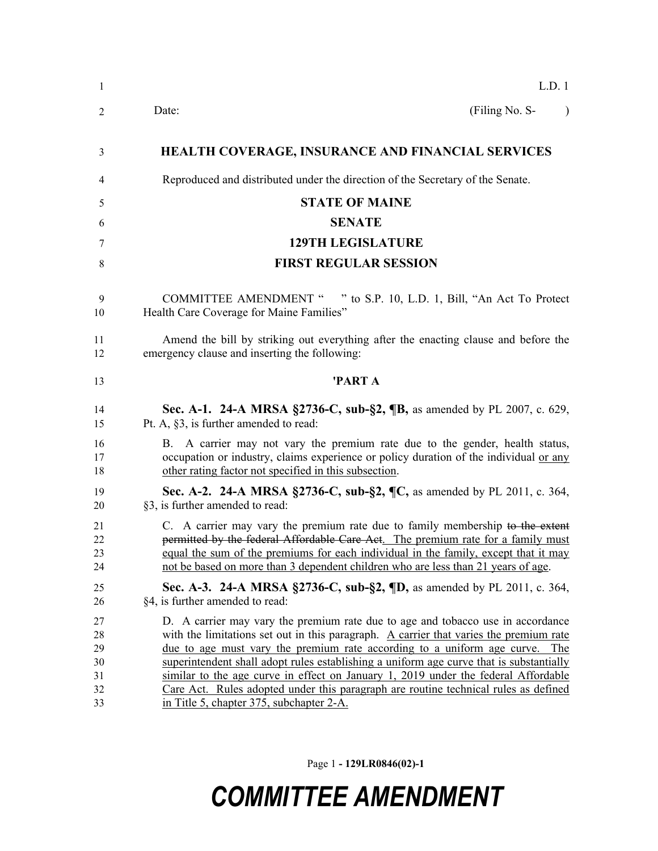| $\mathbf{1}$                           | L.D. 1                                                                                                                                                                                                                                                                                                                                                                                                                                                                                                                                                                              |
|----------------------------------------|-------------------------------------------------------------------------------------------------------------------------------------------------------------------------------------------------------------------------------------------------------------------------------------------------------------------------------------------------------------------------------------------------------------------------------------------------------------------------------------------------------------------------------------------------------------------------------------|
| 2                                      | (Filing No. S-<br>Date:<br>$\mathcal{E}$                                                                                                                                                                                                                                                                                                                                                                                                                                                                                                                                            |
| 3                                      | <b>HEALTH COVERAGE, INSURANCE AND FINANCIAL SERVICES</b>                                                                                                                                                                                                                                                                                                                                                                                                                                                                                                                            |
| 4                                      | Reproduced and distributed under the direction of the Secretary of the Senate.                                                                                                                                                                                                                                                                                                                                                                                                                                                                                                      |
| 5                                      | <b>STATE OF MAINE</b>                                                                                                                                                                                                                                                                                                                                                                                                                                                                                                                                                               |
| 6                                      | <b>SENATE</b>                                                                                                                                                                                                                                                                                                                                                                                                                                                                                                                                                                       |
| 7                                      | <b>129TH LEGISLATURE</b>                                                                                                                                                                                                                                                                                                                                                                                                                                                                                                                                                            |
| 8                                      | <b>FIRST REGULAR SESSION</b>                                                                                                                                                                                                                                                                                                                                                                                                                                                                                                                                                        |
| 9<br>10                                | <b>COMMITTEE AMENDMENT "</b><br>" to S.P. 10, L.D. 1, Bill, "An Act To Protect"<br>Health Care Coverage for Maine Families"                                                                                                                                                                                                                                                                                                                                                                                                                                                         |
| 11<br>12                               | Amend the bill by striking out everything after the enacting clause and before the<br>emergency clause and inserting the following:                                                                                                                                                                                                                                                                                                                                                                                                                                                 |
| 13                                     | 'PART A                                                                                                                                                                                                                                                                                                                                                                                                                                                                                                                                                                             |
| 14<br>15                               | Sec. A-1. 24-A MRSA §2736-C, sub-§2, ¶B, as amended by PL 2007, c. 629,<br>Pt. A, §3, is further amended to read:                                                                                                                                                                                                                                                                                                                                                                                                                                                                   |
| 16<br>17<br>18                         | B. A carrier may not vary the premium rate due to the gender, health status,<br>occupation or industry, claims experience or policy duration of the individual or any<br>other rating factor not specified in this subsection.                                                                                                                                                                                                                                                                                                                                                      |
| 19<br>20                               | Sec. A-2. 24-A MRSA §2736-C, sub-§2, ¶C, as amended by PL 2011, c. 364,<br>§3, is further amended to read:                                                                                                                                                                                                                                                                                                                                                                                                                                                                          |
| 21<br>22<br>23<br>24                   | C. A carrier may vary the premium rate due to family membership to the extent<br>permitted by the federal Affordable Care Act. The premium rate for a family must<br>equal the sum of the premiums for each individual in the family, except that it may<br>not be based on more than 3 dependent children who are less than 21 years of age.                                                                                                                                                                                                                                       |
| 25<br>26                               | Sec. A-3. 24-A MRSA §2736-C, sub-§2, $\{D, \text{as amended by PL } 2011, \text{c. } 364, \text{c. } 364, \text{d. } 364\}$<br>§4, is further amended to read:                                                                                                                                                                                                                                                                                                                                                                                                                      |
| 27<br>28<br>29<br>30<br>31<br>32<br>33 | D. A carrier may vary the premium rate due to age and tobacco use in accordance<br>with the limitations set out in this paragraph. A carrier that varies the premium rate<br><u>due to age must vary the premium rate according to a uniform age curve. The</u><br>superintendent shall adopt rules establishing a uniform age curve that is substantially<br>similar to the age curve in effect on January 1, 2019 under the federal Affordable<br>Care Act. Rules adopted under this paragraph are routine technical rules as defined<br>in Title 5, chapter 375, subchapter 2-A. |

Page 1 **- 129LR0846(02)-1**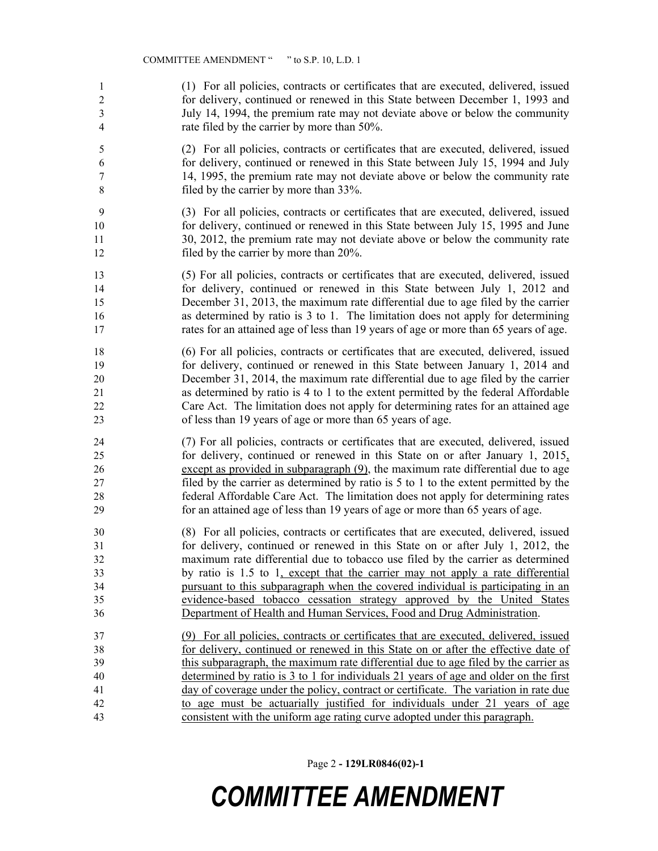(1) For all policies, contracts or certificates that are executed, delivered, issued for delivery, continued or renewed in this State between December 1, 1993 and July 14, 1994, the premium rate may not deviate above or below the community rate filed by the carrier by more than 50%.

 (2) For all policies, contracts or certificates that are executed, delivered, issued for delivery, continued or renewed in this State between July 15, 1994 and July 14, 1995, the premium rate may not deviate above or below the community rate filed by the carrier by more than 33%.

 (3) For all policies, contracts or certificates that are executed, delivered, issued for delivery, continued or renewed in this State between July 15, 1995 and June 30, 2012, the premium rate may not deviate above or below the community rate 12 filed by the carrier by more than 20%.

 (5) For all policies, contracts or certificates that are executed, delivered, issued for delivery, continued or renewed in this State between July 1, 2012 and December 31, 2013, the maximum rate differential due to age filed by the carrier as determined by ratio is 3 to 1. The limitation does not apply for determining rates for an attained age of less than 19 years of age or more than 65 years of age.

 (6) For all policies, contracts or certificates that are executed, delivered, issued for delivery, continued or renewed in this State between January 1, 2014 and December 31, 2014, the maximum rate differential due to age filed by the carrier as determined by ratio is 4 to 1 to the extent permitted by the federal Affordable Care Act. The limitation does not apply for determining rates for an attained age of less than 19 years of age or more than 65 years of age.

 (7) For all policies, contracts or certificates that are executed, delivered, issued for delivery, continued or renewed in this State on or after January 1, 2015, except as provided in subparagraph (9), the maximum rate differential due to age filed by the carrier as determined by ratio is 5 to 1 to the extent permitted by the federal Affordable Care Act. The limitation does not apply for determining rates for an attained age of less than 19 years of age or more than 65 years of age.

 (8) For all policies, contracts or certificates that are executed, delivered, issued for delivery, continued or renewed in this State on or after July 1, 2012, the maximum rate differential due to tobacco use filed by the carrier as determined by ratio is 1.5 to 1, except that the carrier may not apply a rate differential pursuant to this subparagraph when the covered individual is participating in an evidence-based tobacco cessation strategy approved by the United States Department of Health and Human Services, Food and Drug Administration.

 (9) For all policies, contracts or certificates that are executed, delivered, issued for delivery, continued or renewed in this State on or after the effective date of this subparagraph, the maximum rate differential due to age filed by the carrier as determined by ratio is 3 to 1 for individuals 21 years of age and older on the first day of coverage under the policy, contract or certificate. The variation in rate due to age must be actuarially justified for individuals under 21 years of age consistent with the uniform age rating curve adopted under this paragraph.

Page 2 **- 129LR0846(02)-1**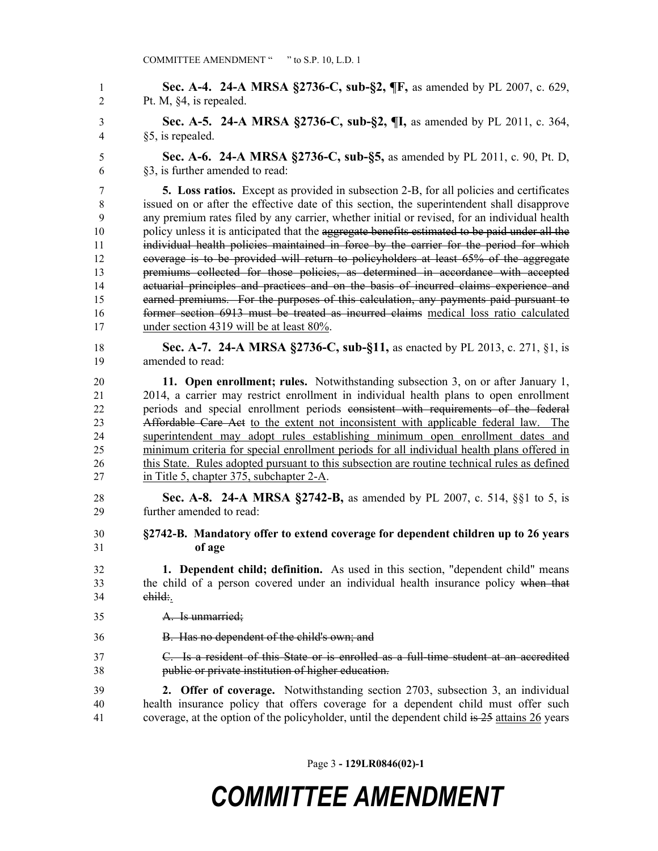**Sec. A-4. 24-A MRSA §2736-C, sub-§2, ¶F,** as amended by PL 2007, c. 629, Pt. M, §4, is repealed.

 **Sec. A-5. 24-A MRSA §2736-C, sub-§2, ¶I,** as amended by PL 2011, c. 364, §5, is repealed.

 **Sec. A-6. 24-A MRSA §2736-C, sub-§5,** as amended by PL 2011, c. 90, Pt. D, §3, is further amended to read:

 **5. Loss ratios.** Except as provided in subsection 2-B, for all policies and certificates issued on or after the effective date of this section, the superintendent shall disapprove any premium rates filed by any carrier, whether initial or revised, for an individual health 10 policy unless it is anticipated that the aggregate benefits estimated to be paid under all the individual health policies maintained in force by the carrier for the period for which coverage is to be provided will return to policyholders at least 65% of the aggregate premiums collected for those policies, as determined in accordance with accepted actuarial principles and practices and on the basis of incurred claims experience and earned premiums. For the purposes of this calculation, any payments paid pursuant to former section 6913 must be treated as incurred claims medical loss ratio calculated under section 4319 will be at least 80%.

 **Sec. A-7. 24-A MRSA §2736-C, sub-§11,** as enacted by PL 2013, c. 271, §1, is amended to read:

 **11. Open enrollment; rules.** Notwithstanding subsection 3, on or after January 1, 2014, a carrier may restrict enrollment in individual health plans to open enrollment periods and special enrollment periods consistent with requirements of the federal Affordable Care Act to the extent not inconsistent with applicable federal law. The superintendent may adopt rules establishing minimum open enrollment dates and minimum criteria for special enrollment periods for all individual health plans offered in 26 this State. Rules adopted pursuant to this subsection are routine technical rules as defined in Title 5, chapter 375, subchapter 2-A.

- **Sec. A-8. 24-A MRSA §2742-B,** as amended by PL 2007, c. 514, §§1 to 5, is further amended to read:
- **§2742-B. Mandatory offer to extend coverage for dependent children up to 26 years of age**
- **1. Dependent child; definition.** As used in this section, "dependent child" means the child of a person covered under an individual health insurance policy when that child:.
- A. Is unmarried;
- B. Has no dependent of the child's own; and
- C. Is a resident of this State or is enrolled as a full-time student at an accredited public or private institution of higher education.

 **2. Offer of coverage.** Notwithstanding section 2703, subsection 3, an individual health insurance policy that offers coverage for a dependent child must offer such coverage, at the option of the policyholder, until the dependent child is 25 attains 26 years

Page 3 **- 129LR0846(02)-1**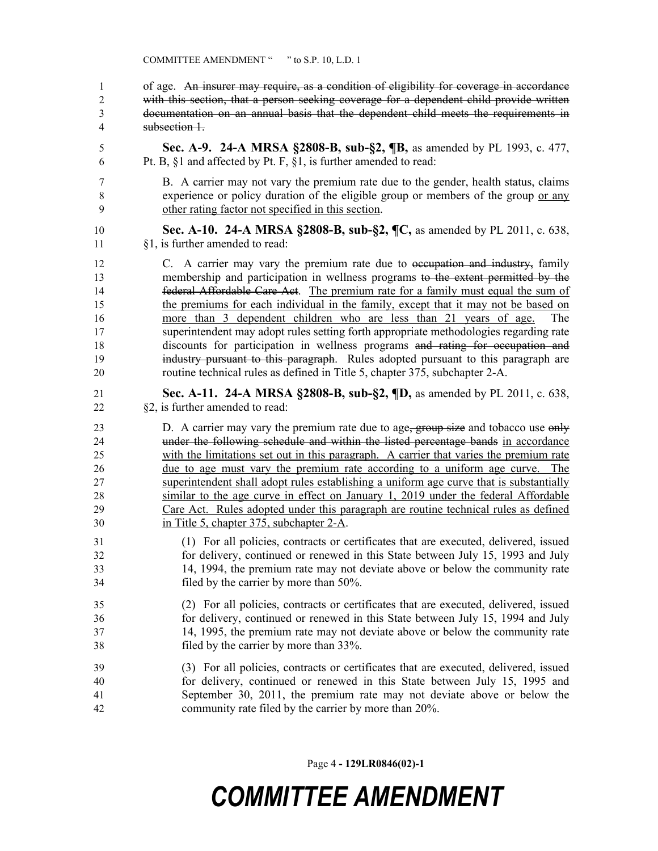| of age. An insurer may require, as a condition of eligibility for coverage in accordance |
|------------------------------------------------------------------------------------------|
| with this section, that a person seeking coverage for a dependent child provide written  |
| documentation on an annual basis that the dependent child meets the requirements in      |
| subsection 1                                                                             |

 **Sec. A-9. 24-A MRSA §2808-B, sub-§2, ¶B,** as amended by PL 1993, c. 477, Pt. B, §1 and affected by Pt. F, §1, is further amended to read:

- B. A carrier may not vary the premium rate due to the gender, health status, claims experience or policy duration of the eligible group or members of the group or any other rating factor not specified in this section.
- **Sec. A-10. 24-A MRSA §2808-B, sub-§2, ¶C,** as amended by PL 2011, c. 638, §1, is further amended to read:

12 C. A carrier may vary the premium rate due to <del>occupation and industry,</del> family membership and participation in wellness programs to the extent permitted by the federal Affordable Care Act. The premium rate for a family must equal the sum of the premiums for each individual in the family, except that it may not be based on more than 3 dependent children who are less than 21 years of age. The superintendent may adopt rules setting forth appropriate methodologies regarding rate discounts for participation in wellness programs and rating for occupation and industry pursuant to this paragraph. Rules adopted pursuant to this paragraph are routine technical rules as defined in Title 5, chapter 375, subchapter 2-A.

 **Sec. A-11. 24-A MRSA §2808-B, sub-§2, ¶D,** as amended by PL 2011, c. 638, §2, is further amended to read:

23 D. A carrier may vary the premium rate due to age, group size and tobacco use only under the following schedule and within the listed percentage bands in accordance with the limitations set out in this paragraph. A carrier that varies the premium rate due to age must vary the premium rate according to a uniform age curve. The superintendent shall adopt rules establishing a uniform age curve that is substantially similar to the age curve in effect on January 1, 2019 under the federal Affordable Care Act. Rules adopted under this paragraph are routine technical rules as defined in Title 5, chapter 375, subchapter 2-A.

- (1) For all policies, contracts or certificates that are executed, delivered, issued for delivery, continued or renewed in this State between July 15, 1993 and July 14, 1994, the premium rate may not deviate above or below the community rate filed by the carrier by more than 50%.
- (2) For all policies, contracts or certificates that are executed, delivered, issued for delivery, continued or renewed in this State between July 15, 1994 and July 14, 1995, the premium rate may not deviate above or below the community rate filed by the carrier by more than 33%.
- (3) For all policies, contracts or certificates that are executed, delivered, issued for delivery, continued or renewed in this State between July 15, 1995 and September 30, 2011, the premium rate may not deviate above or below the community rate filed by the carrier by more than 20%.

Page 4 **- 129LR0846(02)-1**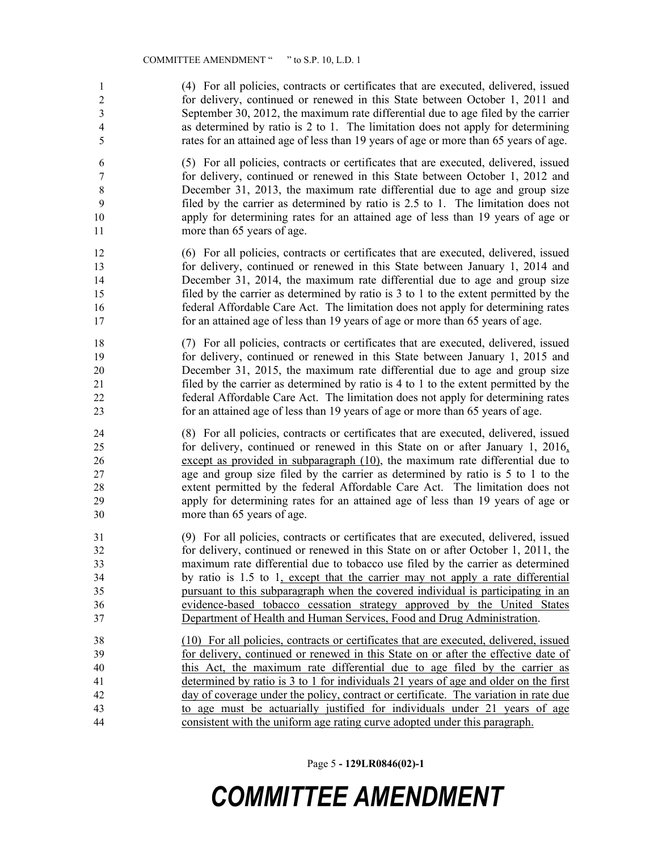(4) For all policies, contracts or certificates that are executed, delivered, issued for delivery, continued or renewed in this State between October 1, 2011 and September 30, 2012, the maximum rate differential due to age filed by the carrier as determined by ratio is 2 to 1. The limitation does not apply for determining rates for an attained age of less than 19 years of age or more than 65 years of age.

 (5) For all policies, contracts or certificates that are executed, delivered, issued for delivery, continued or renewed in this State between October 1, 2012 and December 31, 2013, the maximum rate differential due to age and group size filed by the carrier as determined by ratio is 2.5 to 1. The limitation does not apply for determining rates for an attained age of less than 19 years of age or 11 more than 65 years of age.

 (6) For all policies, contracts or certificates that are executed, delivered, issued for delivery, continued or renewed in this State between January 1, 2014 and December 31, 2014, the maximum rate differential due to age and group size filed by the carrier as determined by ratio is 3 to 1 to the extent permitted by the federal Affordable Care Act. The limitation does not apply for determining rates for an attained age of less than 19 years of age or more than 65 years of age.

 (7) For all policies, contracts or certificates that are executed, delivered, issued for delivery, continued or renewed in this State between January 1, 2015 and December 31, 2015, the maximum rate differential due to age and group size filed by the carrier as determined by ratio is 4 to 1 to the extent permitted by the federal Affordable Care Act. The limitation does not apply for determining rates for an attained age of less than 19 years of age or more than 65 years of age.

 (8) For all policies, contracts or certificates that are executed, delivered, issued for delivery, continued or renewed in this State on or after January 1, 2016, except as provided in subparagraph (10), the maximum rate differential due to age and group size filed by the carrier as determined by ratio is 5 to 1 to the extent permitted by the federal Affordable Care Act. The limitation does not apply for determining rates for an attained age of less than 19 years of age or more than 65 years of age.

 (9) For all policies, contracts or certificates that are executed, delivered, issued for delivery, continued or renewed in this State on or after October 1, 2011, the maximum rate differential due to tobacco use filed by the carrier as determined by ratio is 1.5 to 1, except that the carrier may not apply a rate differential pursuant to this subparagraph when the covered individual is participating in an evidence-based tobacco cessation strategy approved by the United States Department of Health and Human Services, Food and Drug Administration.

 (10) For all policies, contracts or certificates that are executed, delivered, issued for delivery, continued or renewed in this State on or after the effective date of this Act, the maximum rate differential due to age filed by the carrier as determined by ratio is 3 to 1 for individuals 21 years of age and older on the first day of coverage under the policy, contract or certificate. The variation in rate due to age must be actuarially justified for individuals under 21 years of age consistent with the uniform age rating curve adopted under this paragraph.

Page 5 **- 129LR0846(02)-1**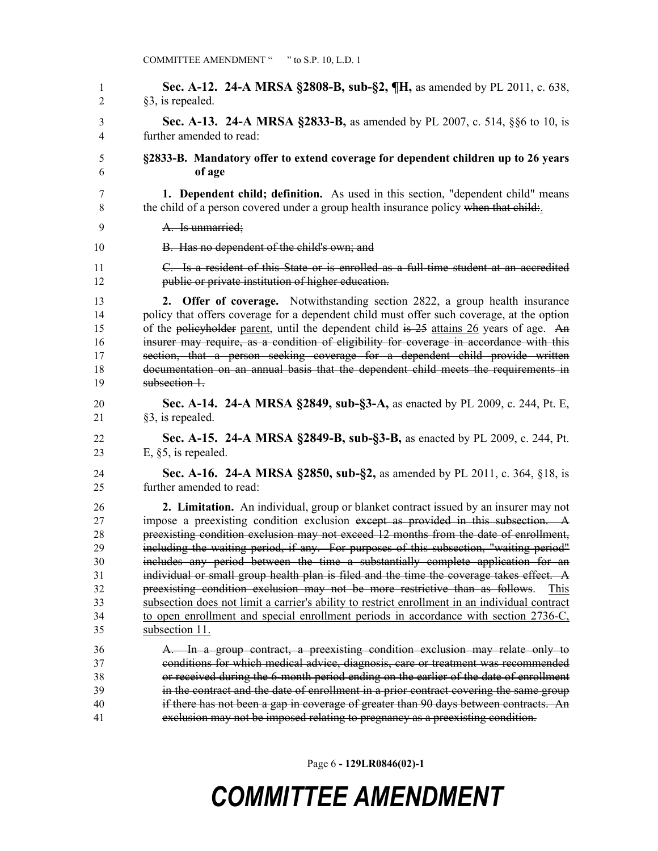**Sec. A-12. 24-A MRSA §2808-B, sub-§2, ¶H,** as amended by PL 2011, c. 638, §3, is repealed. **Sec. A-13. 24-A MRSA §2833-B,** as amended by PL 2007, c. 514, §§6 to 10, is further amended to read: **§2833-B. Mandatory offer to extend coverage for dependent children up to 26 years of age 1. Dependent child; definition.** As used in this section, "dependent child" means 8 the child of a person covered under a group health insurance policy when that child: A. Is unmarried; **B.** Has no dependent of the child's own; and C. Is a resident of this State or is enrolled as a full-time student at an accredited public or private institution of higher education. **2. Offer of coverage.** Notwithstanding section 2822, a group health insurance policy that offers coverage for a dependent child must offer such coverage, at the option 15 of the policyholder parent, until the dependent child is 25 attains 26 years of age. An insurer may require, as a condition of eligibility for coverage in accordance with this section, that a person seeking coverage for a dependent child provide written documentation on an annual basis that the dependent child meets the requirements in subsection 1. **Sec. A-14. 24-A MRSA §2849, sub-§3-A,** as enacted by PL 2009, c. 244, Pt. E, §3, is repealed. **Sec. A-15. 24-A MRSA §2849-B, sub-§3-B,** as enacted by PL 2009, c. 244, Pt. E, §5, is repealed. **Sec. A-16. 24-A MRSA §2850, sub-§2,** as amended by PL 2011, c. 364, §18, is further amended to read: **2. Limitation.** An individual, group or blanket contract issued by an insurer may not impose a preexisting condition exclusion except as provided in this subsection. A preexisting condition exclusion may not exceed 12 months from the date of enrollment, including the waiting period, if any. For purposes of this subsection, "waiting period" includes any period between the time a substantially complete application for an individual or small group health plan is filed and the time the coverage takes effect. A preexisting condition exclusion may not be more restrictive than as follows. This subsection does not limit a carrier's ability to restrict enrollment in an individual contract to open enrollment and special enrollment periods in accordance with section 2736-C, subsection 11. A. In a group contract, a preexisting condition exclusion may relate only to conditions for which medical advice, diagnosis, care or treatment was recommended or received during the 6-month period ending on the earlier of the date of enrollment in the contract and the date of enrollment in a prior contract covering the same group if there has not been a gap in coverage of greater than 90 days between contracts. An exclusion may not be imposed relating to pregnancy as a preexisting condition.

Page 6 **- 129LR0846(02)-1**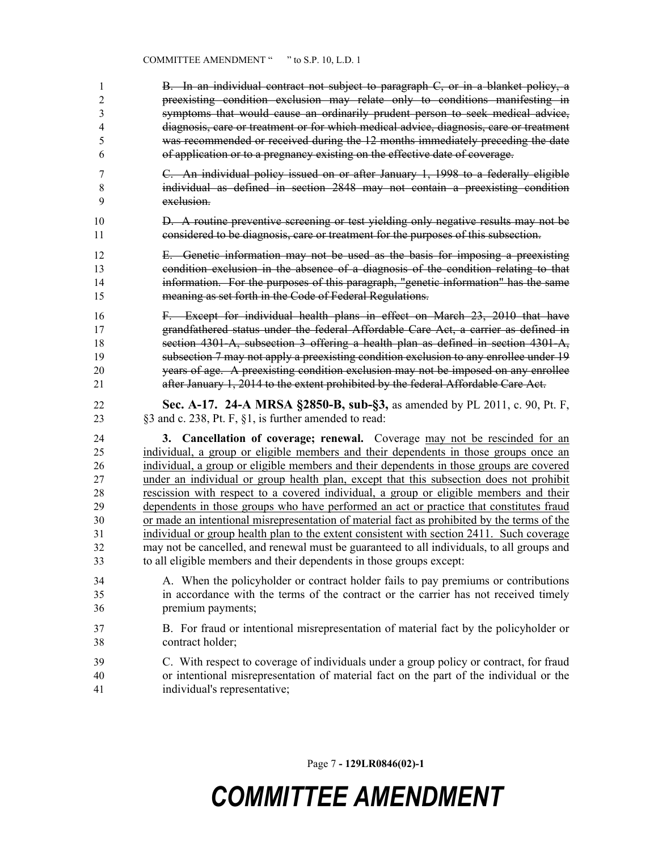B. In an individual contract not subject to paragraph C, or in a blanket policy, a preexisting condition exclusion may relate only to conditions manifesting in symptoms that would cause an ordinarily prudent person to seek medical advice, diagnosis, care or treatment or for which medical advice, diagnosis, care or treatment was recommended or received during the 12 months immediately preceding the date of application or to a pregnancy existing on the effective date of coverage.

- C. An individual policy issued on or after January 1, 1998 to a federally eligible individual as defined in section 2848 may not contain a preexisting condition exclusion.
- **D.** A routine preventive screening or test yielding only negative results may not be considered to be diagnosis, care or treatment for the purposes of this subsection.

 E. Genetic information may not be used as the basis for imposing a preexisting condition exclusion in the absence of a diagnosis of the condition relating to that information. For the purposes of this paragraph, "genetic information" has the same meaning as set forth in the Code of Federal Regulations.

- F. Except for individual health plans in effect on March 23, 2010 that have grandfathered status under the federal Affordable Care Act, a carrier as defined in section 4301-A, subsection 3 offering a health plan as defined in section 4301-A, subsection 7 may not apply a preexisting condition exclusion to any enrollee under 19 years of age. A preexisting condition exclusion may not be imposed on any enrollee after January 1, 2014 to the extent prohibited by the federal Affordable Care Act.
- **Sec. A-17. 24-A MRSA §2850-B, sub-§3,** as amended by PL 2011, c. 90, Pt. F, §3 and c. 238, Pt. F, §1, is further amended to read:

 **3. Cancellation of coverage; renewal.** Coverage may not be rescinded for an individual, a group or eligible members and their dependents in those groups once an individual, a group or eligible members and their dependents in those groups are covered under an individual or group health plan, except that this subsection does not prohibit rescission with respect to a covered individual, a group or eligible members and their dependents in those groups who have performed an act or practice that constitutes fraud or made an intentional misrepresentation of material fact as prohibited by the terms of the individual or group health plan to the extent consistent with section 2411. Such coverage may not be cancelled, and renewal must be guaranteed to all individuals, to all groups and to all eligible members and their dependents in those groups except:

- A. When the policyholder or contract holder fails to pay premiums or contributions in accordance with the terms of the contract or the carrier has not received timely premium payments;
- B. For fraud or intentional misrepresentation of material fact by the policyholder or contract holder;
- C. With respect to coverage of individuals under a group policy or contract, for fraud or intentional misrepresentation of material fact on the part of the individual or the individual's representative;

Page 7 **- 129LR0846(02)-1**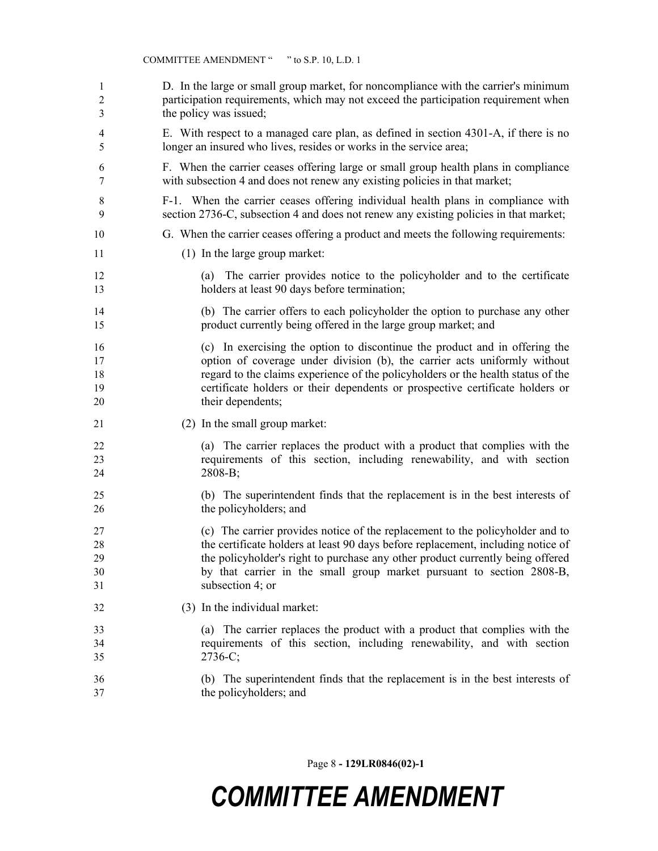| 1              | D. In the large or small group market, for noncompliance with the carrier's minimum                                           |
|----------------|-------------------------------------------------------------------------------------------------------------------------------|
| $\mathfrak{2}$ | participation requirements, which may not exceed the participation requirement when                                           |
| 3              | the policy was issued;                                                                                                        |
| 4              | E. With respect to a managed care plan, as defined in section 4301-A, if there is no                                          |
| 5              | longer an insured who lives, resides or works in the service area;                                                            |
| 6              | F. When the carrier ceases offering large or small group health plans in compliance                                           |
| 7              | with subsection 4 and does not renew any existing policies in that market;                                                    |
| 8              | F-1. When the carrier ceases offering individual health plans in compliance with                                              |
| 9              | section 2736-C, subsection 4 and does not renew any existing policies in that market;                                         |
| 10             | G. When the carrier ceases offering a product and meets the following requirements:                                           |
| 11             | (1) In the large group market:                                                                                                |
| 12<br>13       | The carrier provides notice to the policyholder and to the certificate<br>(a)<br>holders at least 90 days before termination; |
| 14             | (b) The carrier offers to each policyholder the option to purchase any other                                                  |
| 15             | product currently being offered in the large group market; and                                                                |
| 16             | (c) In exercising the option to discontinue the product and in offering the                                                   |
| 17             | option of coverage under division (b), the carrier acts uniformly without                                                     |
| 18             | regard to the claims experience of the policyholders or the health status of the                                              |
| 19             | certificate holders or their dependents or prospective certificate holders or                                                 |
| 20             | their dependents;                                                                                                             |
| 21             | (2) In the small group market:                                                                                                |
| 22             | (a) The carrier replaces the product with a product that complies with the                                                    |
| 23             | requirements of this section, including renewability, and with section                                                        |
| 24             | $2808-B;$                                                                                                                     |
| 25             | (b) The superintendent finds that the replacement is in the best interests of                                                 |
| 26             | the policyholders; and                                                                                                        |
| 27             | (c) The carrier provides notice of the replacement to the policyholder and to                                                 |
| 28             | the certificate holders at least 90 days before replacement, including notice of                                              |
| 29             | the policyholder's right to purchase any other product currently being offered                                                |
| 30             | by that carrier in the small group market pursuant to section 2808-B,                                                         |
| 31             | subsection 4; or                                                                                                              |
| 32             | (3) In the individual market:                                                                                                 |
| 33             | (a) The carrier replaces the product with a product that complies with the                                                    |
| 34             | requirements of this section, including renewability, and with section                                                        |
| 35             | $2736-C;$                                                                                                                     |
| 36             | (b) The superintendent finds that the replacement is in the best interests of                                                 |
| 37             | the policyholders; and                                                                                                        |

Page 8 **- 129LR0846(02)-1**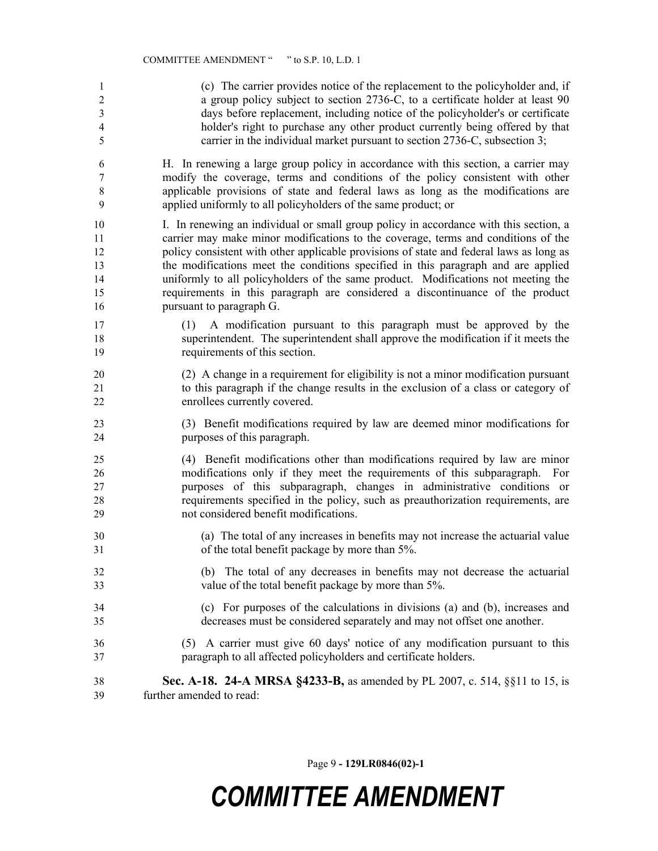(c) The carrier provides notice of the replacement to the policyholder and, if 2 a group policy subject to section 2736-C, to a certificate holder at least 90 days before replacement, including notice of the policyholder's or certificate holder's right to purchase any other product currently being offered by that carrier in the individual market pursuant to section 2736-C, subsection 3; H. In renewing a large group policy in accordance with this section, a carrier may modify the coverage, terms and conditions of the policy consistent with other applicable provisions of state and federal laws as long as the modifications are applied uniformly to all policyholders of the same product; or I. In renewing an individual or small group policy in accordance with this section, a carrier may make minor modifications to the coverage, terms and conditions of the policy consistent with other applicable provisions of state and federal laws as long as the modifications meet the conditions specified in this paragraph and are applied uniformly to all policyholders of the same product. Modifications not meeting the requirements in this paragraph are considered a discontinuance of the product pursuant to paragraph G. (1) A modification pursuant to this paragraph must be approved by the superintendent. The superintendent shall approve the modification if it meets the requirements of this section. (2) A change in a requirement for eligibility is not a minor modification pursuant to this paragraph if the change results in the exclusion of a class or category of enrollees currently covered. (3) Benefit modifications required by law are deemed minor modifications for purposes of this paragraph. (4) Benefit modifications other than modifications required by law are minor modifications only if they meet the requirements of this subparagraph. For purposes of this subparagraph, changes in administrative conditions or requirements specified in the policy, such as preauthorization requirements, are not considered benefit modifications. (a) The total of any increases in benefits may not increase the actuarial value of the total benefit package by more than 5%. (b) The total of any decreases in benefits may not decrease the actuarial value of the total benefit package by more than 5%. (c) For purposes of the calculations in divisions (a) and (b), increases and decreases must be considered separately and may not offset one another.

- (5) A carrier must give 60 days' notice of any modification pursuant to this paragraph to all affected policyholders and certificate holders.
- **Sec. A-18. 24-A MRSA §4233-B,** as amended by PL 2007, c. 514, §§11 to 15, is further amended to read:

Page 9 **- 129LR0846(02)-1**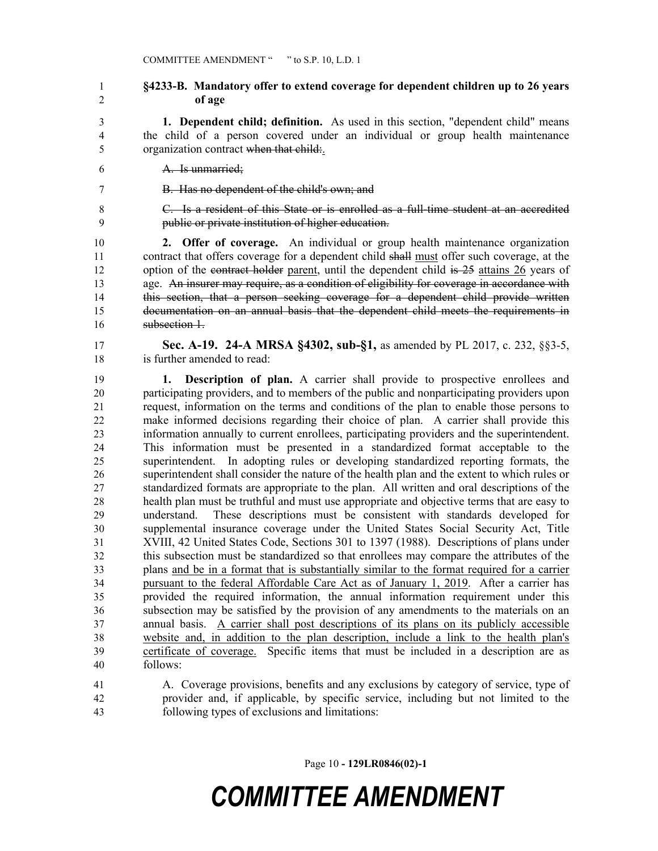#### **§4233-B. Mandatory offer to extend coverage for dependent children up to 26 years of age**

 **1. Dependent child; definition.** As used in this section, "dependent child" means the child of a person covered under an individual or group health maintenance organization contract when that child:.

A. Is unmarried;

B. Has no dependent of the child's own; and

 C. Is a resident of this State or is enrolled as a full-time student at an accredited public or private institution of higher education.

 **2. Offer of coverage.** An individual or group health maintenance organization 11 contract that offers coverage for a dependent child shall must offer such coverage, at the 12 option of the contract holder parent, until the dependent child is 25 attains 26 years of 13 age. An insurer may require, as a condition of eligibility for coverage in accordance with this section, that a person seeking coverage for a dependent child provide written documentation on an annual basis that the dependent child meets the requirements in subsection 1.

 **Sec. A-19. 24-A MRSA §4302, sub-§1,** as amended by PL 2017, c. 232, §§3-5, is further amended to read:

 **1. Description of plan.** A carrier shall provide to prospective enrollees and participating providers, and to members of the public and nonparticipating providers upon request, information on the terms and conditions of the plan to enable those persons to make informed decisions regarding their choice of plan. A carrier shall provide this information annually to current enrollees, participating providers and the superintendent. This information must be presented in a standardized format acceptable to the superintendent. In adopting rules or developing standardized reporting formats, the superintendent shall consider the nature of the health plan and the extent to which rules or standardized formats are appropriate to the plan. All written and oral descriptions of the health plan must be truthful and must use appropriate and objective terms that are easy to understand. These descriptions must be consistent with standards developed for supplemental insurance coverage under the United States Social Security Act, Title XVIII, 42 United States Code, Sections 301 to 1397 (1988). Descriptions of plans under this subsection must be standardized so that enrollees may compare the attributes of the plans and be in a format that is substantially similar to the format required for a carrier 34 pursuant to the federal Affordable Care Act as of January 1, 2019. After a carrier has provided the required information, the annual information requirement under this subsection may be satisfied by the provision of any amendments to the materials on an annual basis. A carrier shall post descriptions of its plans on its publicly accessible website and, in addition to the plan description, include a link to the health plan's certificate of coverage. Specific items that must be included in a description are as follows:

 A. Coverage provisions, benefits and any exclusions by category of service, type of provider and, if applicable, by specific service, including but not limited to the following types of exclusions and limitations:

Page 10 **- 129LR0846(02)-1**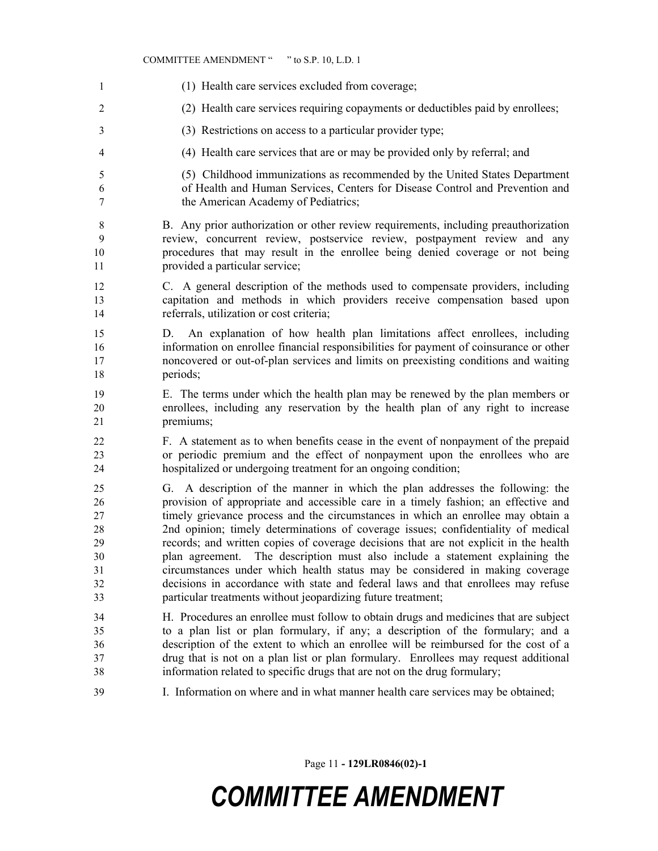#### COMMITTEE AMENDMENT " " to S.P. 10, L.D. 1

 (1) Health care services excluded from coverage; (2) Health care services requiring copayments or deductibles paid by enrollees; (3) Restrictions on access to a particular provider type; (4) Health care services that are or may be provided only by referral; and (5) Childhood immunizations as recommended by the United States Department of Health and Human Services, Centers for Disease Control and Prevention and the American Academy of Pediatrics; B. Any prior authorization or other review requirements, including preauthorization review, concurrent review, postservice review, postpayment review and any procedures that may result in the enrollee being denied coverage or not being provided a particular service; C. A general description of the methods used to compensate providers, including capitation and methods in which providers receive compensation based upon referrals, utilization or cost criteria; D. An explanation of how health plan limitations affect enrollees, including information on enrollee financial responsibilities for payment of coinsurance or other noncovered or out-of-plan services and limits on preexisting conditions and waiting 18 periods: E. The terms under which the health plan may be renewed by the plan members or enrollees, including any reservation by the health plan of any right to increase premiums; F. A statement as to when benefits cease in the event of nonpayment of the prepaid or periodic premium and the effect of nonpayment upon the enrollees who are hospitalized or undergoing treatment for an ongoing condition; G. A description of the manner in which the plan addresses the following: the provision of appropriate and accessible care in a timely fashion; an effective and timely grievance process and the circumstances in which an enrollee may obtain a 2nd opinion; timely determinations of coverage issues; confidentiality of medical records; and written copies of coverage decisions that are not explicit in the health plan agreement. The description must also include a statement explaining the circumstances under which health status may be considered in making coverage decisions in accordance with state and federal laws and that enrollees may refuse particular treatments without jeopardizing future treatment; H. Procedures an enrollee must follow to obtain drugs and medicines that are subject to a plan list or plan formulary, if any; a description of the formulary; and a description of the extent to which an enrollee will be reimbursed for the cost of a drug that is not on a plan list or plan formulary. Enrollees may request additional information related to specific drugs that are not on the drug formulary; I. Information on where and in what manner health care services may be obtained;

Page 11 **- 129LR0846(02)-1**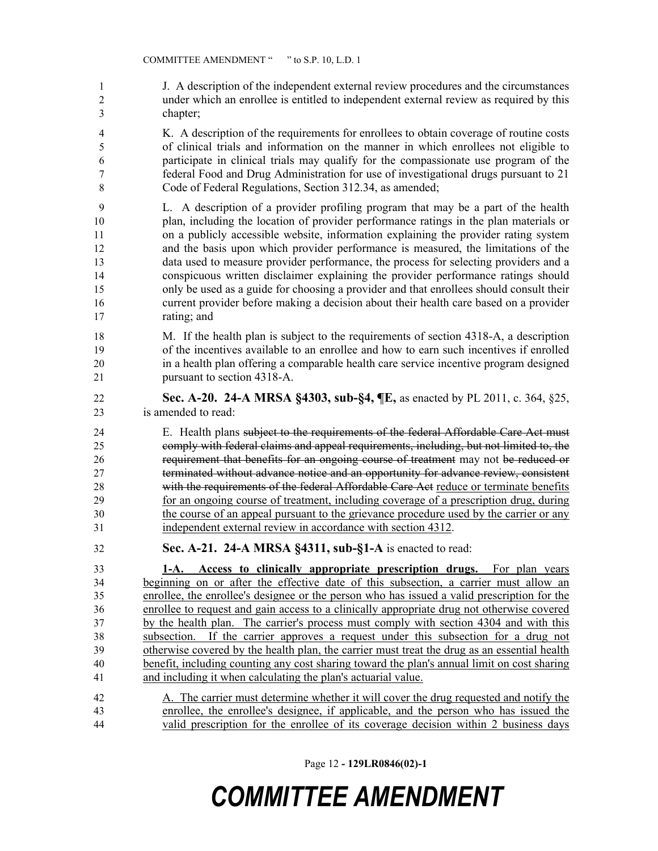J. A description of the independent external review procedures and the circumstances under which an enrollee is entitled to independent external review as required by this chapter;

 K. A description of the requirements for enrollees to obtain coverage of routine costs of clinical trials and information on the manner in which enrollees not eligible to participate in clinical trials may qualify for the compassionate use program of the federal Food and Drug Administration for use of investigational drugs pursuant to 21 Code of Federal Regulations, Section 312.34, as amended;

 L. A description of a provider profiling program that may be a part of the health plan, including the location of provider performance ratings in the plan materials or on a publicly accessible website, information explaining the provider rating system and the basis upon which provider performance is measured, the limitations of the data used to measure provider performance, the process for selecting providers and a conspicuous written disclaimer explaining the provider performance ratings should only be used as a guide for choosing a provider and that enrollees should consult their current provider before making a decision about their health care based on a provider rating; and

 M. If the health plan is subject to the requirements of section 4318-A, a description of the incentives available to an enrollee and how to earn such incentives if enrolled in a health plan offering a comparable health care service incentive program designed pursuant to section 4318-A.

 **Sec. A-20. 24-A MRSA §4303, sub-§4, ¶E,** as enacted by PL 2011, c. 364, §25, is amended to read:

 E. Health plans subject to the requirements of the federal Affordable Care Act must comply with federal claims and appeal requirements, including, but not limited to, the requirement that benefits for an ongoing course of treatment may not be reduced or terminated without advance notice and an opportunity for advance review, consistent 28 with the requirements of the federal Affordable Care Act reduce or terminate benefits for an ongoing course of treatment, including coverage of a prescription drug, during the course of an appeal pursuant to the grievance procedure used by the carrier or any independent external review in accordance with section 4312.

**Sec. A-21. 24-A MRSA §4311, sub-§1-A** is enacted to read:

 **1-A. Access to clinically appropriate prescription drugs.** For plan years beginning on or after the effective date of this subsection, a carrier must allow an enrollee, the enrollee's designee or the person who has issued a valid prescription for the enrollee to request and gain access to a clinically appropriate drug not otherwise covered by the health plan. The carrier's process must comply with section 4304 and with this subsection. If the carrier approves a request under this subsection for a drug not 39 otherwise covered by the health plan, the carrier must treat the drug as an essential health benefit, including counting any cost sharing toward the plan's annual limit on cost sharing and including it when calculating the plan's actuarial value.

 A. The carrier must determine whether it will cover the drug requested and notify the enrollee, the enrollee's designee, if applicable, and the person who has issued the valid prescription for the enrollee of its coverage decision within 2 business days

Page 12 **- 129LR0846(02)-1**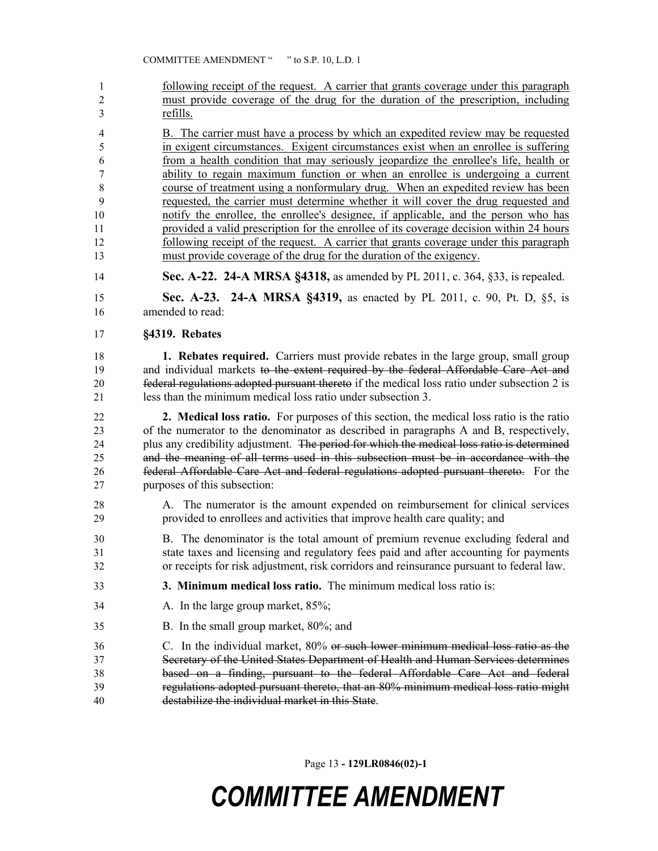- 1 following receipt of the request. A carrier that grants coverage under this paragraph must provide coverage of the drug for the duration of the prescription, including refills.
- B. The carrier must have a process by which an expedited review may be requested in exigent circumstances. Exigent circumstances exist when an enrollee is suffering from a health condition that may seriously jeopardize the enrollee's life, health or ability to regain maximum function or when an enrollee is undergoing a current course of treatment using a nonformulary drug. When an expedited review has been requested, the carrier must determine whether it will cover the drug requested and notify the enrollee, the enrollee's designee, if applicable, and the person who has provided a valid prescription for the enrollee of its coverage decision within 24 hours following receipt of the request. A carrier that grants coverage under this paragraph must provide coverage of the drug for the duration of the exigency.
- **Sec. A-22. 24-A MRSA §4318,** as amended by PL 2011, c. 364, §33, is repealed.

 **Sec. A-23. 24-A MRSA §4319,** as enacted by PL 2011, c. 90, Pt. D, §5, is amended to read:

**§4319. Rebates**

 **1. Rebates required.** Carriers must provide rebates in the large group, small group 19 and individual markets to the extent required by the federal Affordable Care Act and federal regulations adopted pursuant thereto if the medical loss ratio under subsection 2 is less than the minimum medical loss ratio under subsection 3.

 **2. Medical loss ratio.** For purposes of this section, the medical loss ratio is the ratio of the numerator to the denominator as described in paragraphs A and B, respectively, 24 plus any credibility adjustment. The period for which the medical loss ratio is determined and the meaning of all terms used in this subsection must be in accordance with the federal Affordable Care Act and federal regulations adopted pursuant thereto. For the purposes of this subsection:

- A. The numerator is the amount expended on reimbursement for clinical services provided to enrollees and activities that improve health care quality; and
- B. The denominator is the total amount of premium revenue excluding federal and state taxes and licensing and regulatory fees paid and after accounting for payments or receipts for risk adjustment, risk corridors and reinsurance pursuant to federal law.
- **3. Minimum medical loss ratio.** The minimum medical loss ratio is:
- 34 A. In the large group market, 85%;
- B. In the small group market, 80%; and
- C. In the individual market, 80% or such lower minimum medical loss ratio as the Secretary of the United States Department of Health and Human Services determines based on a finding, pursuant to the federal Affordable Care Act and federal regulations adopted pursuant thereto, that an 80% minimum medical loss ratio might destabilize the individual market in this State.

Page 13 **- 129LR0846(02)-1**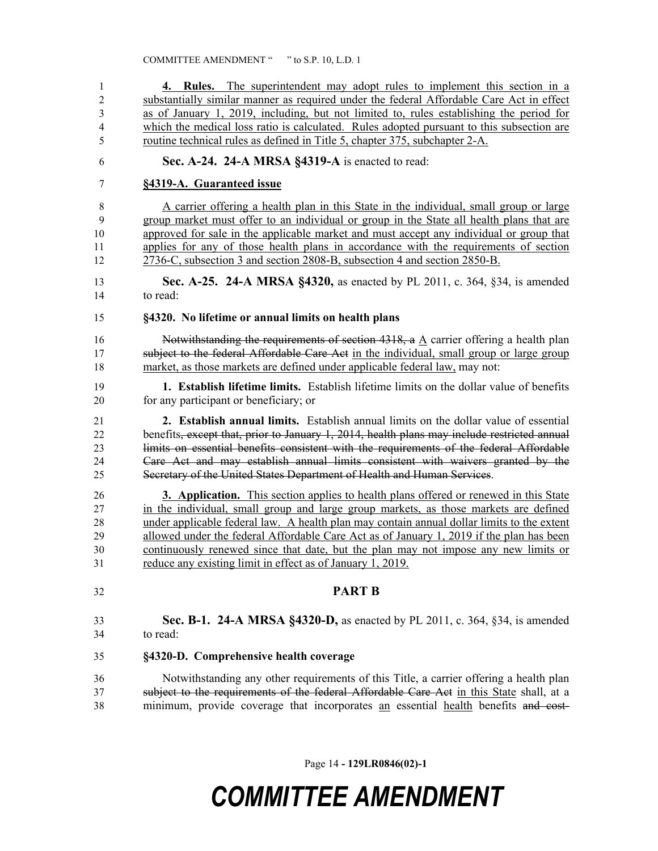| 1              | 4. Rules. The superintendent may adopt rules to implement this section in a                  |
|----------------|----------------------------------------------------------------------------------------------|
| $\overline{2}$ | substantially similar manner as required under the federal Affordable Care Act in effect     |
| 3              | as of January 1, 2019, including, but not limited to, rules establishing the period for      |
| $\overline{4}$ | which the medical loss ratio is calculated. Rules adopted pursuant to this subsection are    |
| 5              | routine technical rules as defined in Title 5, chapter 375, subchapter 2-A.                  |
|                |                                                                                              |
| 6              | Sec. A-24. 24-A MRSA §4319-A is enacted to read:                                             |
| 7              | §4319-A. Guaranteed issue                                                                    |
| 8              | A carrier offering a health plan in this State in the individual, small group or large       |
| 9              | group market must offer to an individual or group in the State all health plans that are     |
| 10             | approved for sale in the applicable market and must accept any individual or group that      |
| 11             | applies for any of those health plans in accordance with the requirements of section         |
| 12             | 2736-C, subsection 3 and section 2808-B, subsection 4 and section 2850-B.                    |
| 13             | <b>Sec. A-25. 24-A MRSA §4320, as enacted by PL 2011, c. 364, §34, is amended</b>            |
| 14             | to read:                                                                                     |
| 15             | §4320. No lifetime or annual limits on health plans                                          |
| 16             | Notwithstanding the requirements of section 4318, a A carrier offering a health plan         |
| 17             | subject to the federal Affordable Care Act in the individual, small group or large group     |
| 18             | market, as those markets are defined under applicable federal law, may not:                  |
| 19             | 1. Establish lifetime limits. Establish lifetime limits on the dollar value of benefits      |
| 20             | for any participant or beneficiary; or                                                       |
| 21             | 2. Establish annual limits. Establish annual limits on the dollar value of essential         |
| 22             | benefits, except that, prior to January 1, 2014, health plans may include restricted annual  |
| 23             | limits on essential benefits consistent with the requirements of the federal Affordable      |
| 24             | Care Act and may establish annual limits consistent with waivers granted by the              |
|                |                                                                                              |
| 25             | Secretary of the United States Department of Health and Human Services.                      |
| 26             | <b>3. Application.</b> This section applies to health plans offered or renewed in this State |
| 27             | in the individual, small group and large group markets, as those markets are defined         |
| 28             | under applicable federal law. A health plan may contain annual dollar limits to the extent   |
| 29             | allowed under the federal Affordable Care Act as of January 1, 2019 if the plan has been     |
| 30             | continuously renewed since that date, but the plan may not impose any new limits or          |
| 31             | reduce any existing limit in effect as of January 1, 2019.                                   |
|                |                                                                                              |
| 32             | <b>PART B</b>                                                                                |
| 33             | Sec. B-1. 24-A MRSA §4320-D, as enacted by PL 2011, c. 364, §34, is amended                  |
| 34             | to read:                                                                                     |
|                |                                                                                              |
| 35             | §4320-D. Comprehensive health coverage                                                       |
| 36             | Notwithstanding any other requirements of this Title, a carrier offering a health plan       |
| 37             | subject to the requirements of the federal Affordable Care Act in this State shall, at a     |
| 38             | minimum, provide coverage that incorporates an essential health benefits and cost-           |

Page 14 **- 129LR0846(02)-1**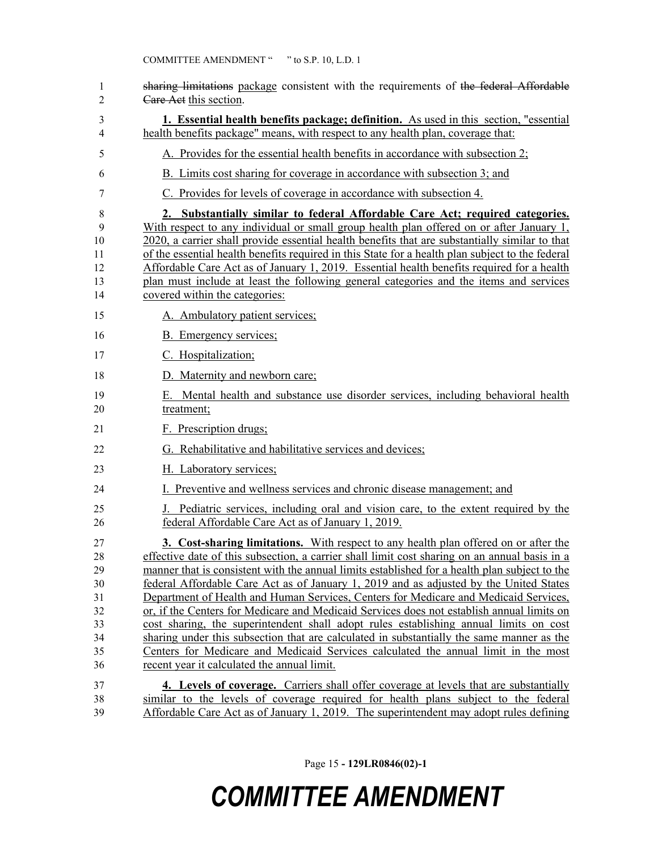| 1<br>2                                                   | sharing limitations package consistent with the requirements of the federal Affordable<br>Care Act this section.                                                                                                                                                                                                                                                                                                                                                                                                                                                                                                                                                                                                                                                                                                                                                                                        |
|----------------------------------------------------------|---------------------------------------------------------------------------------------------------------------------------------------------------------------------------------------------------------------------------------------------------------------------------------------------------------------------------------------------------------------------------------------------------------------------------------------------------------------------------------------------------------------------------------------------------------------------------------------------------------------------------------------------------------------------------------------------------------------------------------------------------------------------------------------------------------------------------------------------------------------------------------------------------------|
| 3<br>$\overline{4}$                                      | <b>1. Essential health benefits package; definition.</b> As used in this section, "essential"<br>health benefits package" means, with respect to any health plan, coverage that:                                                                                                                                                                                                                                                                                                                                                                                                                                                                                                                                                                                                                                                                                                                        |
| 5                                                        | A. Provides for the essential health benefits in accordance with subsection 2;                                                                                                                                                                                                                                                                                                                                                                                                                                                                                                                                                                                                                                                                                                                                                                                                                          |
| 6                                                        | B. Limits cost sharing for coverage in accordance with subsection 3; and                                                                                                                                                                                                                                                                                                                                                                                                                                                                                                                                                                                                                                                                                                                                                                                                                                |
| 7                                                        | C. Provides for levels of coverage in accordance with subsection 4.                                                                                                                                                                                                                                                                                                                                                                                                                                                                                                                                                                                                                                                                                                                                                                                                                                     |
| 8<br>9<br>10<br>11<br>12<br>13<br>14                     | 2. Substantially similar to federal Affordable Care Act; required categories.<br>With respect to any individual or small group health plan offered on or after January 1,<br>2020, a carrier shall provide essential health benefits that are substantially similar to that<br>of the essential health benefits required in this State for a health plan subject to the federal<br>Affordable Care Act as of January 1, 2019. Essential health benefits required for a health<br>plan must include at least the following general categories and the items and services<br>covered within the categories:                                                                                                                                                                                                                                                                                               |
| 15                                                       | A. Ambulatory patient services;                                                                                                                                                                                                                                                                                                                                                                                                                                                                                                                                                                                                                                                                                                                                                                                                                                                                         |
| 16                                                       | B. Emergency services;                                                                                                                                                                                                                                                                                                                                                                                                                                                                                                                                                                                                                                                                                                                                                                                                                                                                                  |
| 17                                                       | C. Hospitalization;                                                                                                                                                                                                                                                                                                                                                                                                                                                                                                                                                                                                                                                                                                                                                                                                                                                                                     |
| 18                                                       | D. Maternity and newborn care;                                                                                                                                                                                                                                                                                                                                                                                                                                                                                                                                                                                                                                                                                                                                                                                                                                                                          |
| 19<br>20                                                 | E. Mental health and substance use disorder services, including behavioral health<br>treatment;                                                                                                                                                                                                                                                                                                                                                                                                                                                                                                                                                                                                                                                                                                                                                                                                         |
| 21                                                       | F. Prescription drugs;                                                                                                                                                                                                                                                                                                                                                                                                                                                                                                                                                                                                                                                                                                                                                                                                                                                                                  |
| 22                                                       | G. Rehabilitative and habilitative services and devices;                                                                                                                                                                                                                                                                                                                                                                                                                                                                                                                                                                                                                                                                                                                                                                                                                                                |
| 23                                                       | H. Laboratory services;                                                                                                                                                                                                                                                                                                                                                                                                                                                                                                                                                                                                                                                                                                                                                                                                                                                                                 |
| 24                                                       | I. Preventive and wellness services and chronic disease management; and                                                                                                                                                                                                                                                                                                                                                                                                                                                                                                                                                                                                                                                                                                                                                                                                                                 |
| 25<br>26                                                 | J. Pediatric services, including oral and vision care, to the extent required by the<br>federal Affordable Care Act as of January 1, 2019.                                                                                                                                                                                                                                                                                                                                                                                                                                                                                                                                                                                                                                                                                                                                                              |
| 27<br>28<br>29<br>30<br>31<br>32<br>33<br>34<br>35<br>36 | <b>3. Cost-sharing limitations.</b> With respect to any health plan offered on or after the<br>effective date of this subsection, a carrier shall limit cost sharing on an annual basis in a<br>manner that is consistent with the annual limits established for a health plan subject to the<br>federal Affordable Care Act as of January 1, 2019 and as adjusted by the United States<br>Department of Health and Human Services, Centers for Medicare and Medicaid Services,<br>or, if the Centers for Medicare and Medicaid Services does not establish annual limits on<br>cost sharing, the superintendent shall adopt rules establishing annual limits on cost<br>sharing under this subsection that are calculated in substantially the same manner as the<br>Centers for Medicare and Medicaid Services calculated the annual limit in the most<br>recent year it calculated the annual limit. |
| 37<br>38<br>39                                           | 4. Levels of coverage. Carriers shall offer coverage at levels that are substantially<br>similar to the levels of coverage required for health plans subject to the federal<br>Affordable Care Act as of January 1, 2019. The superintendent may adopt rules defining                                                                                                                                                                                                                                                                                                                                                                                                                                                                                                                                                                                                                                   |

Page 15 **- 129LR0846(02)-1**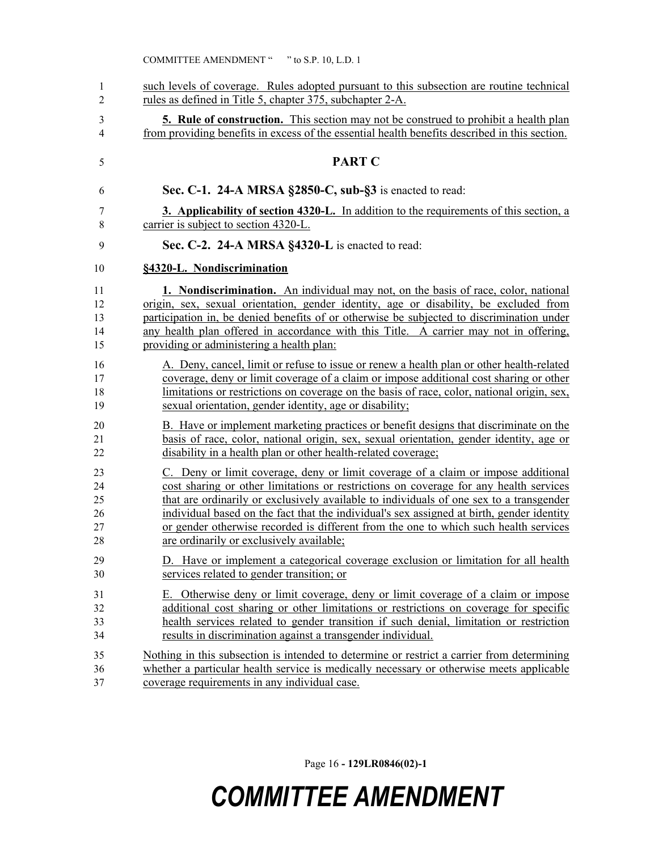| 1  | such levels of coverage. Rules adopted pursuant to this subsection are routine technical      |
|----|-----------------------------------------------------------------------------------------------|
| 2  | rules as defined in Title 5, chapter 375, subchapter 2-A.                                     |
| 3  | <b>5. Rule of construction.</b> This section may not be construed to prohibit a health plan   |
| 4  | from providing benefits in excess of the essential health benefits described in this section. |
| 5  | <b>PART C</b>                                                                                 |
| 6  | Sec. C-1. 24-A MRSA §2850-C, sub-§3 is enacted to read:                                       |
| 7  | 3. Applicability of section 4320-L. In addition to the requirements of this section, a        |
| 8  | carrier is subject to section 4320-L.                                                         |
| 9  | Sec. C-2. 24-A MRSA §4320-L is enacted to read:                                               |
| 10 | §4320-L. Nondiscrimination                                                                    |
| 11 | <b>1. Nondiscrimination.</b> An individual may not, on the basis of race, color, national     |
| 12 | origin, sex, sexual orientation, gender identity, age or disability, be excluded from         |
| 13 | participation in, be denied benefits of or otherwise be subjected to discrimination under     |
| 14 | any health plan offered in accordance with this Title. A carrier may not in offering,         |
| 15 | providing or administering a health plan:                                                     |
| 16 | A. Deny, cancel, limit or refuse to issue or renew a health plan or other health-related      |
| 17 | coverage, deny or limit coverage of a claim or impose additional cost sharing or other        |
| 18 | limitations or restrictions on coverage on the basis of race, color, national origin, sex,    |
| 19 | sexual orientation, gender identity, age or disability;                                       |
| 20 | B. Have or implement marketing practices or benefit designs that discriminate on the          |
| 21 | basis of race, color, national origin, sex, sexual orientation, gender identity, age or       |
| 22 | disability in a health plan or other health-related coverage;                                 |
| 23 | C. Deny or limit coverage, deny or limit coverage of a claim or impose additional             |
| 24 | cost sharing or other limitations or restrictions on coverage for any health services         |
| 25 | that are ordinarily or exclusively available to individuals of one sex to a transgender       |
| 26 | individual based on the fact that the individual's sex assigned at birth, gender identity     |
| 27 | or gender otherwise recorded is different from the one to which such health services          |
| 28 | are ordinarily or exclusively available;                                                      |
| 29 | D. Have or implement a categorical coverage exclusion or limitation for all health            |
| 30 | services related to gender transition; or                                                     |
| 31 | E. Otherwise deny or limit coverage, deny or limit coverage of a claim or impose              |
| 32 | additional cost sharing or other limitations or restrictions on coverage for specific         |
| 33 | health services related to gender transition if such denial, limitation or restriction        |
| 34 | results in discrimination against a transgender individual.                                   |
| 35 | Nothing in this subsection is intended to determine or restrict a carrier from determining    |
| 36 | whether a particular health service is medically necessary or otherwise meets applicable      |
| 37 | coverage requirements in any individual case.                                                 |

Page 16 **- 129LR0846(02)-1**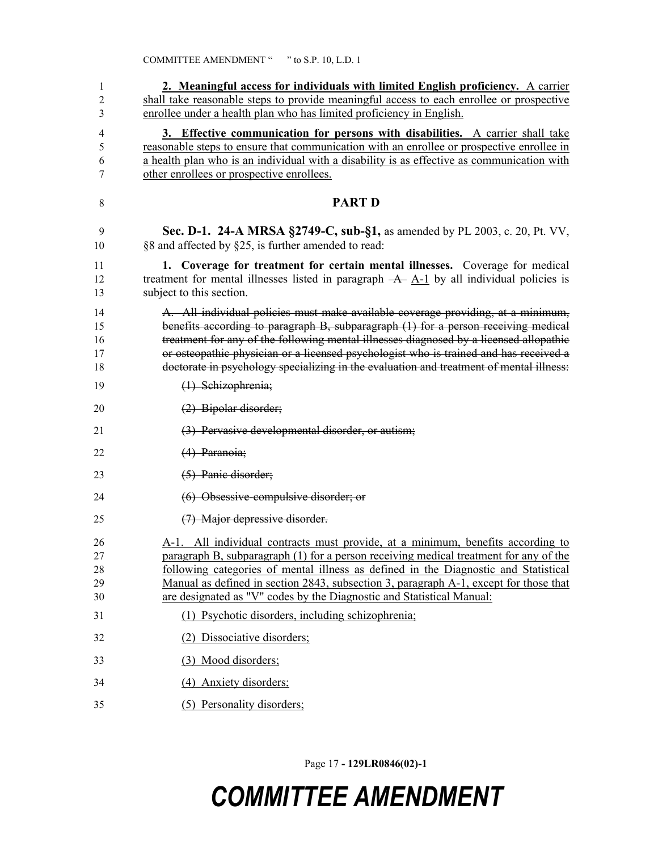| 1<br>$\overline{c}$<br>3         | 2. Meaningful access for individuals with limited English proficiency. A carrier<br>shall take reasonable steps to provide meaningful access to each enrollee or prospective<br>enrollee under a health plan who has limited proficiency in English.                                                                                                                                                                                                                                   |
|----------------------------------|----------------------------------------------------------------------------------------------------------------------------------------------------------------------------------------------------------------------------------------------------------------------------------------------------------------------------------------------------------------------------------------------------------------------------------------------------------------------------------------|
| 4<br>5<br>6<br>7                 | 3. Effective communication for persons with disabilities. A carrier shall take<br>reasonable steps to ensure that communication with an enrollee or prospective enrollee in<br>a health plan who is an individual with a disability is as effective as communication with<br>other enrollees or prospective enrollees.                                                                                                                                                                 |
| 8                                | <b>PART D</b>                                                                                                                                                                                                                                                                                                                                                                                                                                                                          |
| 9<br>10                          | <b>Sec. D-1. 24-A MRSA §2749-C, sub-§1, as amended by PL 2003, c. 20, Pt. VV,</b><br>§8 and affected by §25, is further amended to read:                                                                                                                                                                                                                                                                                                                                               |
| 11<br>12<br>13                   | 1. Coverage for treatment for certain mental illnesses. Coverage for medical<br>treatment for mental illnesses listed in paragraph $-A$ - $A-1$ by all individual policies is<br>subject to this section.                                                                                                                                                                                                                                                                              |
| 14<br>15<br>16<br>17<br>18       | A. All individual policies must make available coverage providing, at a minimum,<br>benefits according to paragraph B, subparagraph (1) for a person receiving medical<br>treatment for any of the following mental illnesses diagnosed by a licensed allopathic<br>or osteopathic physician or a licensed psychologist who is trained and has received a<br>doctorate in psychology specializing in the evaluation and treatment of mental illness:                                   |
| 19                               | (1) Schizophrenia;                                                                                                                                                                                                                                                                                                                                                                                                                                                                     |
| 20                               | $(2)$ Bipolar disorder;                                                                                                                                                                                                                                                                                                                                                                                                                                                                |
| 21                               | (3) Pervasive developmental disorder, or autism;                                                                                                                                                                                                                                                                                                                                                                                                                                       |
| 22                               | (4) Paranoia;                                                                                                                                                                                                                                                                                                                                                                                                                                                                          |
| 23                               | (5) Panic disorder;                                                                                                                                                                                                                                                                                                                                                                                                                                                                    |
| 24                               | $(6)$ Obsessive-compulsive disorder; or                                                                                                                                                                                                                                                                                                                                                                                                                                                |
| 25                               | (7) Major depressive disorder.                                                                                                                                                                                                                                                                                                                                                                                                                                                         |
| 26<br>27<br>28<br>29<br>30<br>31 | A-1. All individual contracts must provide, at a minimum, benefits according to<br>paragraph B, subparagraph (1) for a person receiving medical treatment for any of the<br>following categories of mental illness as defined in the Diagnostic and Statistical<br>Manual as defined in section 2843, subsection 3, paragraph A-1, except for those that<br>are designated as "V" codes by the Diagnostic and Statistical Manual:<br>(1) Psychotic disorders, including schizophrenia; |
| 32                               | (2) Dissociative disorders;                                                                                                                                                                                                                                                                                                                                                                                                                                                            |
| 33                               | (3) Mood disorders;                                                                                                                                                                                                                                                                                                                                                                                                                                                                    |
| 34                               | (4) Anxiety disorders;                                                                                                                                                                                                                                                                                                                                                                                                                                                                 |
| 35                               | (5) Personality disorders;                                                                                                                                                                                                                                                                                                                                                                                                                                                             |
|                                  |                                                                                                                                                                                                                                                                                                                                                                                                                                                                                        |

Page 17 **- 129LR0846(02)-1**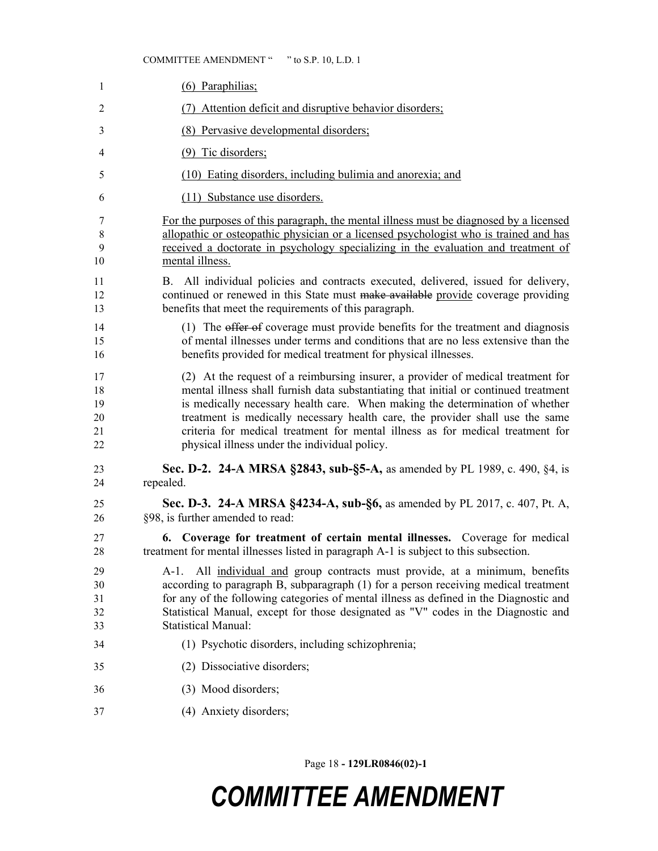#### COMMITTEE AMENDMENT " " to S.P. 10, L.D. 1

| $\mathbf{1}$                     | (6) Paraphilias;                                                                                                                                                                                                                                                                                                                                                                                                                                                             |
|----------------------------------|------------------------------------------------------------------------------------------------------------------------------------------------------------------------------------------------------------------------------------------------------------------------------------------------------------------------------------------------------------------------------------------------------------------------------------------------------------------------------|
| $\overline{2}$                   | Attention deficit and disruptive behavior disorders;<br>(7)                                                                                                                                                                                                                                                                                                                                                                                                                  |
| 3                                | (8) Pervasive developmental disorders;                                                                                                                                                                                                                                                                                                                                                                                                                                       |
| 4                                | $(9)$ Tic disorders;                                                                                                                                                                                                                                                                                                                                                                                                                                                         |
| 5                                | (10) Eating disorders, including bulimia and anorexia; and                                                                                                                                                                                                                                                                                                                                                                                                                   |
| 6                                | (11) Substance use disorders.                                                                                                                                                                                                                                                                                                                                                                                                                                                |
| 7                                | For the purposes of this paragraph, the mental illness must be diagnosed by a licensed                                                                                                                                                                                                                                                                                                                                                                                       |
| 8<br>9                           | allopathic or osteopathic physician or a licensed psychologist who is trained and has<br>received a doctorate in psychology specializing in the evaluation and treatment of                                                                                                                                                                                                                                                                                                  |
| 10                               | mental illness.                                                                                                                                                                                                                                                                                                                                                                                                                                                              |
| 11<br>12<br>13                   | B. All individual policies and contracts executed, delivered, issued for delivery,<br>continued or renewed in this State must make available provide coverage providing<br>benefits that meet the requirements of this paragraph.                                                                                                                                                                                                                                            |
| 14<br>15<br>16                   | (1) The offer of coverage must provide benefits for the treatment and diagnosis<br>of mental illnesses under terms and conditions that are no less extensive than the<br>benefits provided for medical treatment for physical illnesses.                                                                                                                                                                                                                                     |
| 17<br>18<br>19<br>20<br>21<br>22 | (2) At the request of a reimbursing insurer, a provider of medical treatment for<br>mental illness shall furnish data substantiating that initial or continued treatment<br>is medically necessary health care. When making the determination of whether<br>treatment is medically necessary health care, the provider shall use the same<br>criteria for medical treatment for mental illness as for medical treatment for<br>physical illness under the individual policy. |
| 23<br>24                         | Sec. D-2. 24-A MRSA §2843, sub-§5-A, as amended by PL 1989, c. 490, §4, is<br>repealed.                                                                                                                                                                                                                                                                                                                                                                                      |
| 25<br>26                         | Sec. D-3. 24-A MRSA §4234-A, sub-§6, as amended by PL 2017, c. 407, Pt. A,<br>§98, is further amended to read:                                                                                                                                                                                                                                                                                                                                                               |
| 27<br>28                         | 6. Coverage for treatment of certain mental illnesses. Coverage for medical<br>treatment for mental illnesses listed in paragraph A-1 is subject to this subsection.                                                                                                                                                                                                                                                                                                         |
| 29<br>30<br>31<br>32<br>33       | All individual and group contracts must provide, at a minimum, benefits<br>A-1.<br>according to paragraph B, subparagraph (1) for a person receiving medical treatment<br>for any of the following categories of mental illness as defined in the Diagnostic and<br>Statistical Manual, except for those designated as "V" codes in the Diagnostic and<br><b>Statistical Manual:</b>                                                                                         |
| 34                               | (1) Psychotic disorders, including schizophrenia;                                                                                                                                                                                                                                                                                                                                                                                                                            |
| 35                               | (2) Dissociative disorders;                                                                                                                                                                                                                                                                                                                                                                                                                                                  |
| 36                               | (3) Mood disorders;                                                                                                                                                                                                                                                                                                                                                                                                                                                          |
| 37                               | (4) Anxiety disorders;                                                                                                                                                                                                                                                                                                                                                                                                                                                       |

Page 18 **- 129LR0846(02)-1**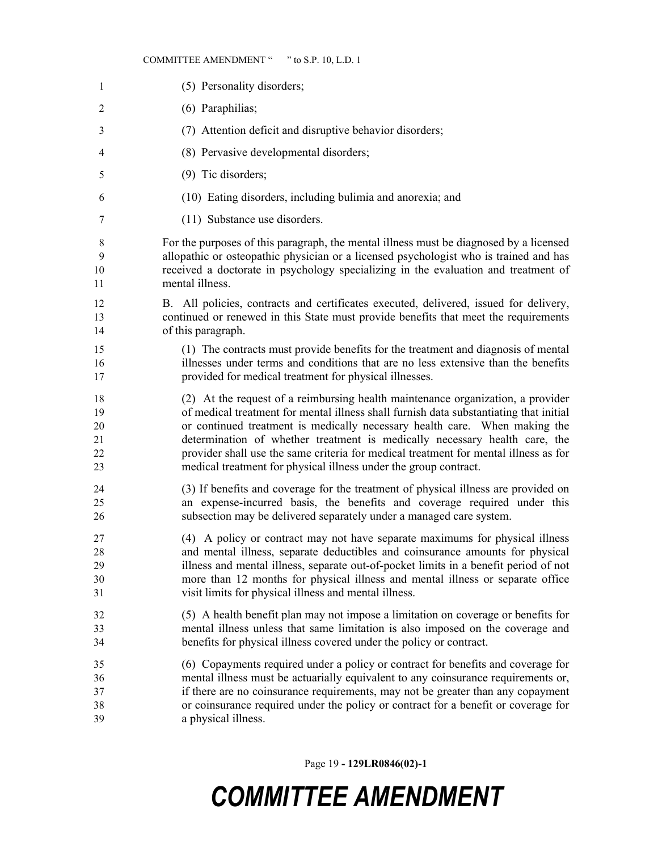#### COMMITTEE AMENDMENT " " to S.P. 10, L.D. 1

| $\mathbf{1}$   | (5) Personality disorders;                                                             |
|----------------|----------------------------------------------------------------------------------------|
| $\overline{2}$ | (6) Paraphilias;                                                                       |
| 3              | (7) Attention deficit and disruptive behavior disorders;                               |
| 4              | (8) Pervasive developmental disorders;                                                 |
| 5              | (9) Tic disorders;                                                                     |
| 6              | (10) Eating disorders, including bulimia and anorexia; and                             |
| 7              | (11) Substance use disorders.                                                          |
| 8              | For the purposes of this paragraph, the mental illness must be diagnosed by a licensed |
| 9              | allopathic or osteopathic physician or a licensed psychologist who is trained and has  |
| 10             | received a doctorate in psychology specializing in the evaluation and treatment of     |
| 11             | mental illness.                                                                        |
| 12             | B. All policies, contracts and certificates executed, delivered, issued for delivery,  |
| 13             | continued or renewed in this State must provide benefits that meet the requirements    |
| 14             | of this paragraph.                                                                     |
| 15             | (1) The contracts must provide benefits for the treatment and diagnosis of mental      |
| 16             | illnesses under terms and conditions that are no less extensive than the benefits      |
| 17             | provided for medical treatment for physical illnesses.                                 |
| 18             | (2) At the request of a reimbursing health maintenance organization, a provider        |
| 19             | of medical treatment for mental illness shall furnish data substantiating that initial |
| 20             | or continued treatment is medically necessary health care. When making the             |
| 21             | determination of whether treatment is medically necessary health care, the             |
| 22             | provider shall use the same criteria for medical treatment for mental illness as for   |
| 23             | medical treatment for physical illness under the group contract.                       |
| 24             | (3) If benefits and coverage for the treatment of physical illness are provided on     |
| 25             | an expense-incurred basis, the benefits and coverage required under this               |
| 26             | subsection may be delivered separately under a managed care system.                    |
| 27             | (4) A policy or contract may not have separate maximums for physical illness           |
| 28             | and mental illness, separate deductibles and coinsurance amounts for physical          |
| 29             | illness and mental illness, separate out-of-pocket limits in a benefit period of not   |
| 30             | more than 12 months for physical illness and mental illness or separate office         |
| 31             | visit limits for physical illness and mental illness.                                  |
| 32             | (5) A health benefit plan may not impose a limitation on coverage or benefits for      |
| 33             | mental illness unless that same limitation is also imposed on the coverage and         |
| 34             | benefits for physical illness covered under the policy or contract.                    |
| 35             | (6) Copayments required under a policy or contract for benefits and coverage for       |
| 36             | mental illness must be actuarially equivalent to any coinsurance requirements or,      |
| 37             | if there are no coinsurance requirements, may not be greater than any copayment        |
| 38             | or coinsurance required under the policy or contract for a benefit or coverage for     |
| 39             | a physical illness.                                                                    |

Page 19 **- 129LR0846(02)-1**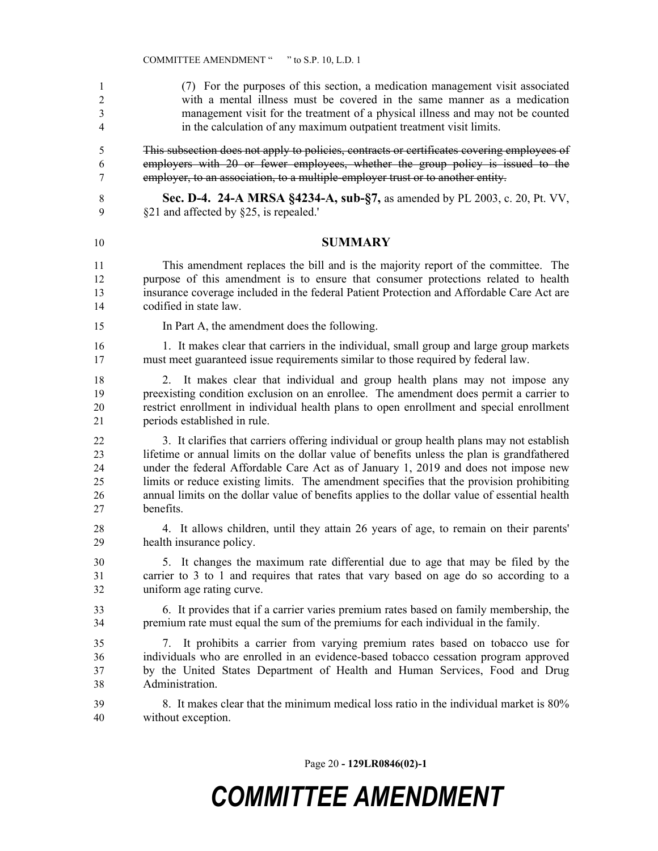(7) For the purposes of this section, a medication management visit associated with a mental illness must be covered in the same manner as a medication management visit for the treatment of a physical illness and may not be counted in the calculation of any maximum outpatient treatment visit limits. This subsection does not apply to policies, contracts or certificates covering employees of employers with 20 or fewer employees, whether the group policy is issued to the employer, to an association, to a multiple-employer trust or to another entity. **Sec. D-4. 24-A MRSA §4234-A, sub-§7,** as amended by PL 2003, c. 20, Pt. VV, §21 and affected by §25, is repealed.' **SUMMARY** This amendment replaces the bill and is the majority report of the committee. The purpose of this amendment is to ensure that consumer protections related to health insurance coverage included in the federal Patient Protection and Affordable Care Act are codified in state law. In Part A, the amendment does the following. 16 16 1. It makes clear that carriers in the individual, small group and large group markets must meet guaranteed issue requirements similar to those required by federal law. 2. It makes clear that individual and group health plans may not impose any preexisting condition exclusion on an enrollee. The amendment does permit a carrier to restrict enrollment in individual health plans to open enrollment and special enrollment periods established in rule. 3. It clarifies that carriers offering individual or group health plans may not establish lifetime or annual limits on the dollar value of benefits unless the plan is grandfathered under the federal Affordable Care Act as of January 1, 2019 and does not impose new limits or reduce existing limits. The amendment specifies that the provision prohibiting annual limits on the dollar value of benefits applies to the dollar value of essential health benefits. 4. It allows children, until they attain 26 years of age, to remain on their parents' health insurance policy. 5. It changes the maximum rate differential due to age that may be filed by the carrier to 3 to 1 and requires that rates that vary based on age do so according to a uniform age rating curve. 6. It provides that if a carrier varies premium rates based on family membership, the premium rate must equal the sum of the premiums for each individual in the family. 7. It prohibits a carrier from varying premium rates based on tobacco use for individuals who are enrolled in an evidence-based tobacco cessation program approved by the United States Department of Health and Human Services, Food and Drug Administration. 8. It makes clear that the minimum medical loss ratio in the individual market is 80% without exception.

Page 20 **- 129LR0846(02)-1**